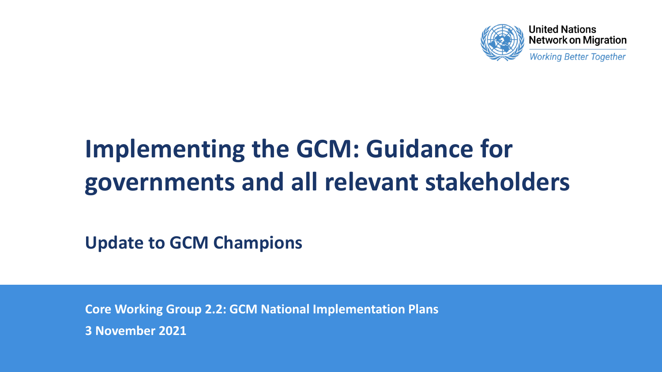

**Working Better Together** 

# **Implementing the GCM: Guidance for governments and all relevant stakeholders**

**Update to GCM Champions**

**Core Working Group 2.2: GCM National Implementation Plans 3 November 2021**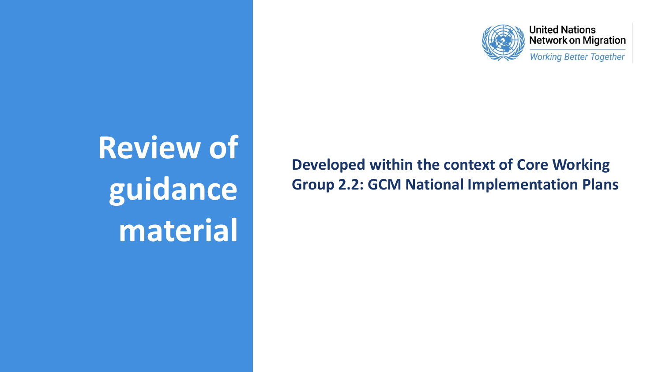

**Working Better Together** 

**Review of guidance material**

**Developed within the context of Core Working Group 2.2: GCM National Implementation Plans**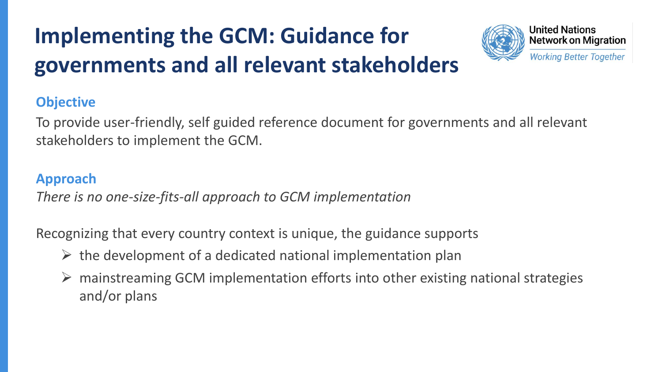# **Implementing the GCM: Guidance for governments and all relevant stakeholders**



#### **Objective**

To provide user-friendly, self guided reference document for governments and all relevant stakeholders to implement the GCM.

#### **Approach**

*There is no one-size-fits-all approach to GCM implementation* 

Recognizing that every country context is unique, the guidance supports

- $\triangleright$  the development of a dedicated national implementation plan
- $\triangleright$  mainstreaming GCM implementation efforts into other existing national strategies and/or plans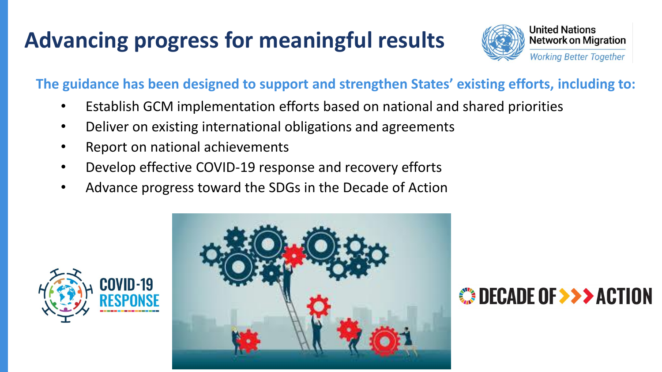# **Advancing progress for meaningful results**



**The guidance has been designed to support and strengthen States' existing efforts, including to:**

- Establish GCM implementation efforts based on national and shared priorities
- Deliver on existing international obligations and agreements
- Report on national achievements
- Develop effective COVID-19 response and recovery efforts
- Advance progress toward the SDGs in the Decade of Action



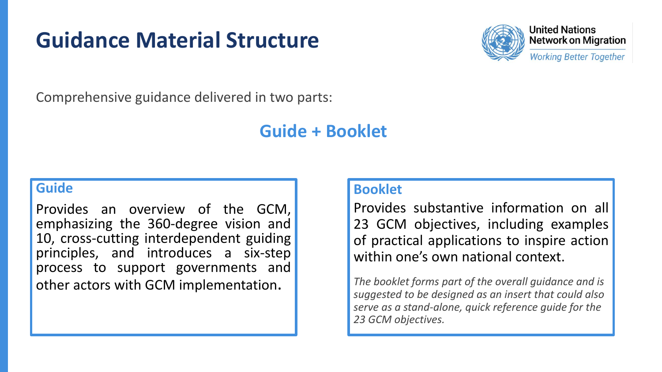### **Guidance Material Structure**



**United Nations Network on Migration** 

**Working Better Together** 

Comprehensive guidance delivered in two parts:

### **Guide + Booklet**

#### **Guide**

Provides an overview of the GCM, emphasizing the 360-degree vision and 10, cross-cutting interdependent guiding principles, and introduces a six-step process to support governments and other actors with GCM implementation.

#### **Booklet**

Provides substantive information on all 23 GCM objectives, including examples of practical applications to inspire action within one's own national context.

*The booklet forms part of the overall guidance and is suggested to be designed as an insert that could also serve as a stand-alone, quick reference guide for the 23 GCM objectives.*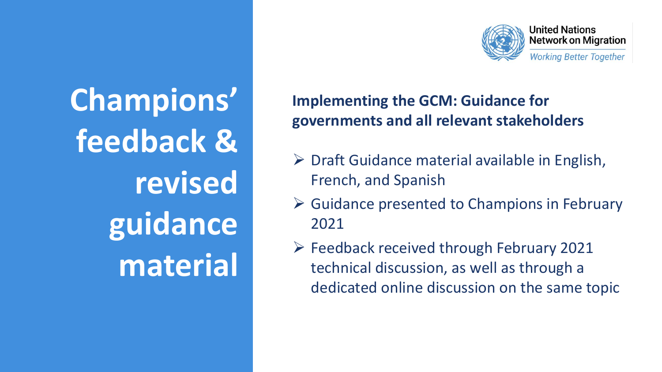**Champions' feedback & revised guidance material**

### **Implementing the GCM: Guidance for governments and all relevant stakeholders**

- $\triangleright$  Draft Guidance material available in English, French, and Spanish
- $\triangleright$  Guidance presented to Champions in February 2021
- $\triangleright$  Feedback received through February 2021 technical discussion, as well as through a dedicated online discussion on the same topic

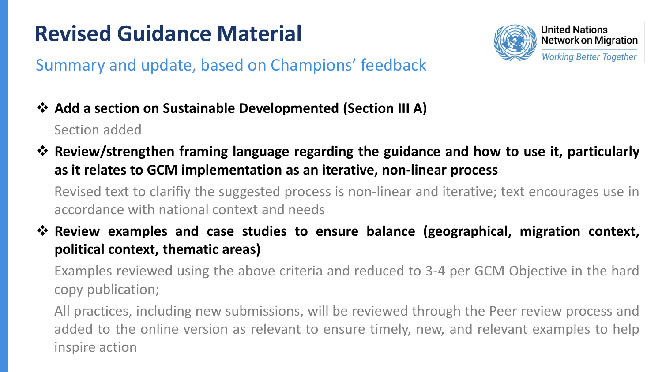### **Revised Guidance Material**



### Summary and update, based on Champions' feedback

- ❖ **Add a section on Sustainable Developmented (Section III A)** Section added
- ❖ **Review/strengthen framing language regarding the guidance and how to use it, particularly as it relates to GCM implementation as an iterative, non-linear process**

Revised text to clarifiy the suggested process is non-linear and iterative; text encourages use in accordance with national context and needs

❖ **Review examples and case studies to ensure balance (geographical, migration context, political context, thematic areas)**

Examples reviewed using the above criteria and reduced to 3-4 per GCM Objective in the hard copy publication;

All practices, including new submissions, will be reviewed through the Peer review process and added to the online version as relevant to ensure timely, new, and relevant examples to help inspire action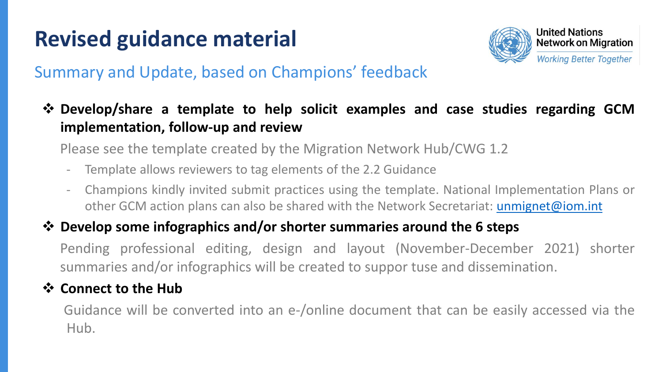# **Revised guidance material**



#### Summary and Update, based on Champions' feedback

❖ **Develop/share a template to help solicit examples and case studies regarding GCM implementation, follow-up and review**

Please see the template created by the Migration Network Hub/CWG 1.2

- Template allows reviewers to tag elements of the 2.2 Guidance
- Champions kindly invited submit practices using the template. National Implementation Plans or other GCM action plans can also be shared with the Network Secretariat: [unmignet@iom.int](mailto:unmignet@iom.int)

#### ❖ **Develop some infographics and/or shorter summaries around the 6 steps**

Pending professional editing, design and layout (November-December 2021) shorter summaries and/or infographics will be created to suppor tuse and dissemination.

#### ❖ **Connect to the Hub**

Guidance will be converted into an e-/online document that can be easily accessed via the Hub.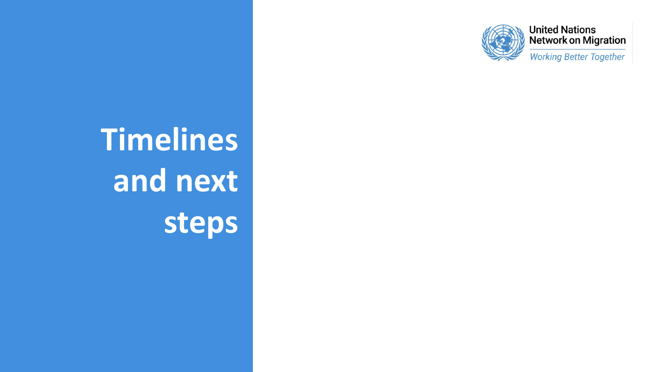

**Working Better Together** 

# **Timelines and next steps**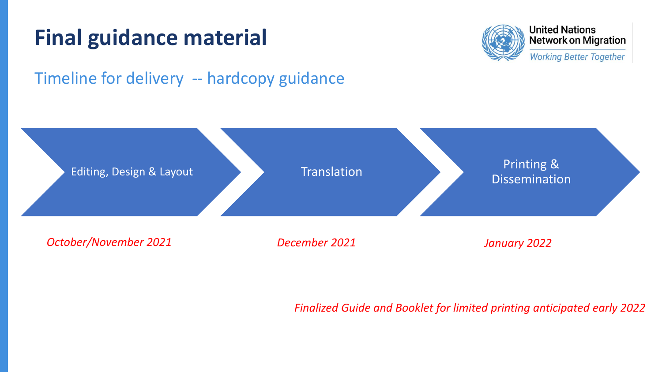## **Final guidance material**



**United Nations Network on Migration** 

**Working Better Together** 

### Timeline for delivery -- hardcopy guidance



#### *Finalized Guide and Booklet for limited printing anticipated early 2022*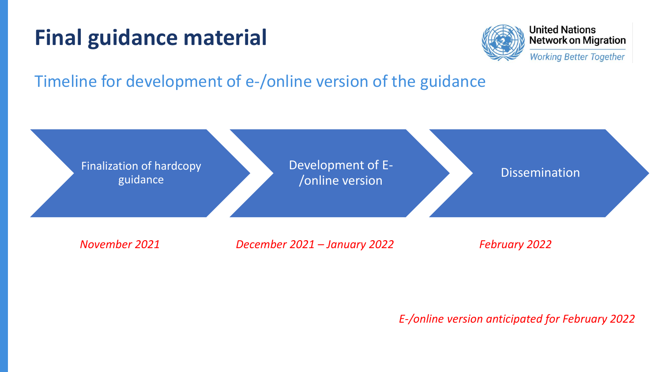### **Final guidance material**



**United Nations Network on Migration** 

**Working Better Together** 

Timeline for development of e-/online version of the guidance



*E-/online version anticipated for February 2022*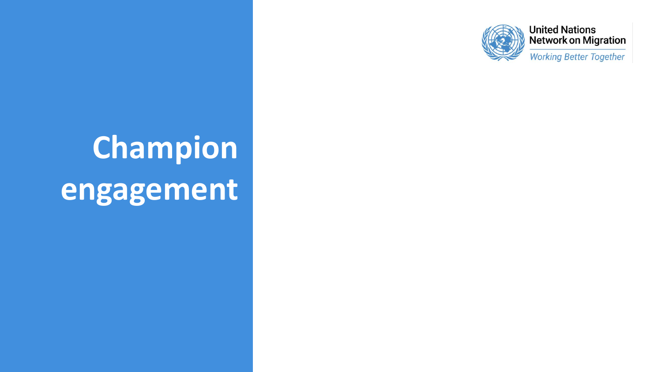

**Working Better Together** 

# **Champion engagement**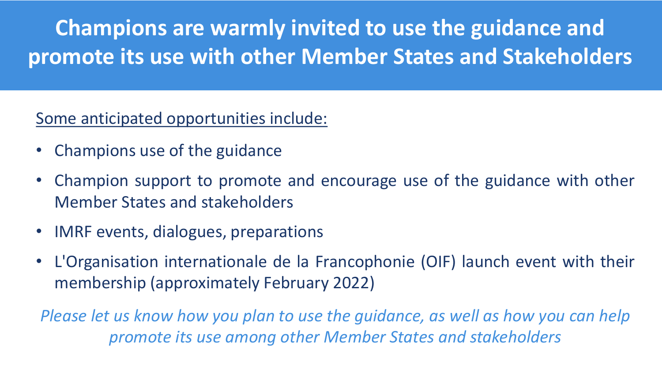**Champions are warmly invited to use the guidance and promote its use with other Member States and Stakeholders**

Some anticipated opportunities include:

- Champions use of the guidance
- Champion support to promote and encourage use of the guidance with other Member States and stakeholders
- IMRF events, dialogues, preparations
- L'Organisation internationale de la Francophonie (OIF) launch event with their membership (approximately February 2022)

*Please let us know how you plan to use the guidance, as well as how you can help promote its use among other Member States and stakeholders*